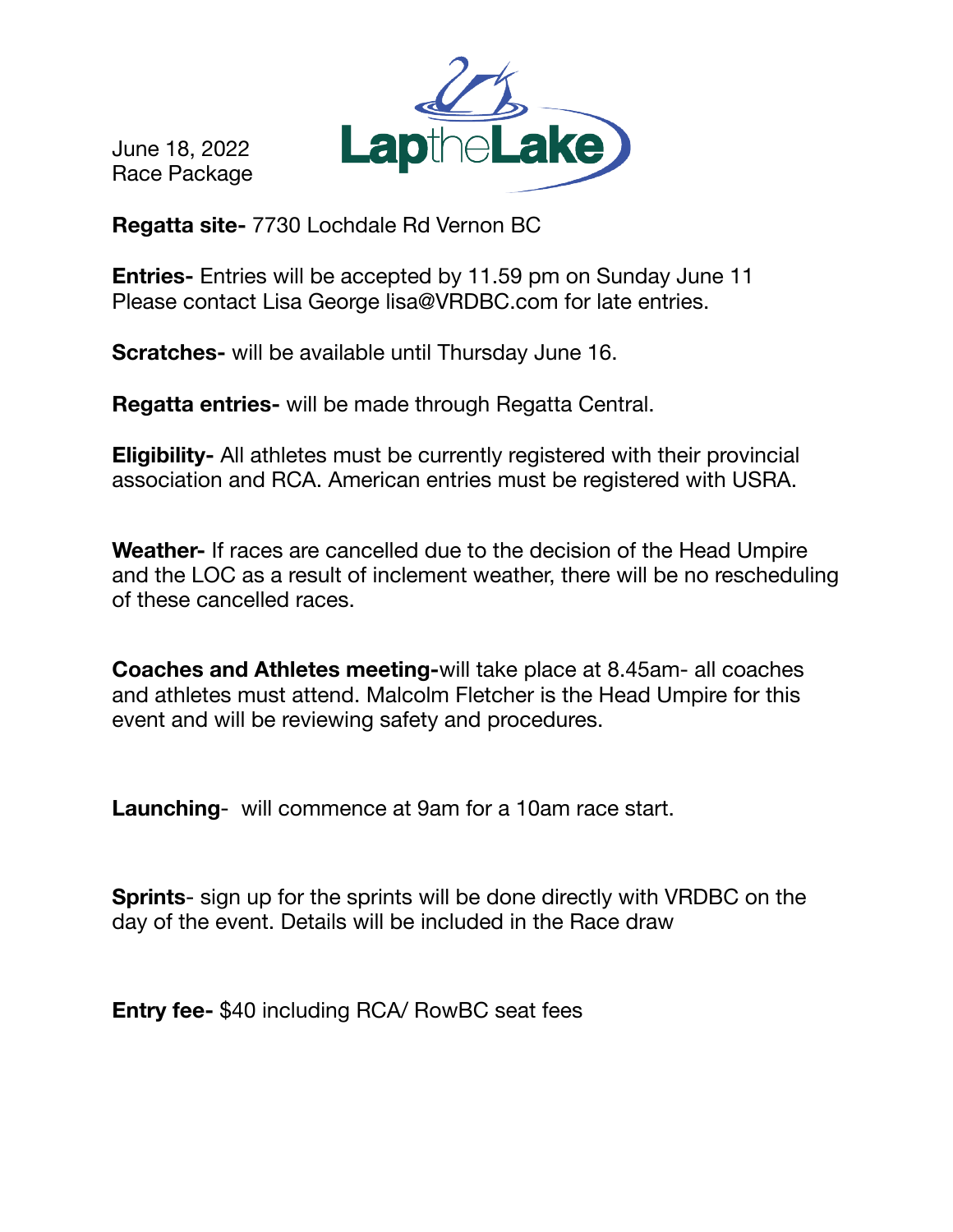June 18, 2022 Race Package



**Regatta site-** 7730 Lochdale Rd Vernon BC

**Entries-** Entries will be accepted by 11.59 pm on Sunday June 11 Please contact Lisa George lisa@VRDBC.com for late entries.

**Scratches-** will be available until Thursday June 16.

**Regatta entries-** will be made through Regatta Central.

**Eligibility-** All athletes must be currently registered with their provincial association and RCA. American entries must be registered with USRA.

**Weather-** If races are cancelled due to the decision of the Head Umpire and the LOC as a result of inclement weather, there will be no rescheduling of these cancelled races.

**Coaches and Athletes meeting-**will take place at 8.45am- all coaches and athletes must attend. Malcolm Fletcher is the Head Umpire for this event and will be reviewing safety and procedures.

**Launching**- will commence at 9am for a 10am race start.

**Sprints**- sign up for the sprints will be done directly with VRDBC on the day of the event. Details will be included in the Race draw

**Entry fee-** \$40 including RCA/ RowBC seat fees